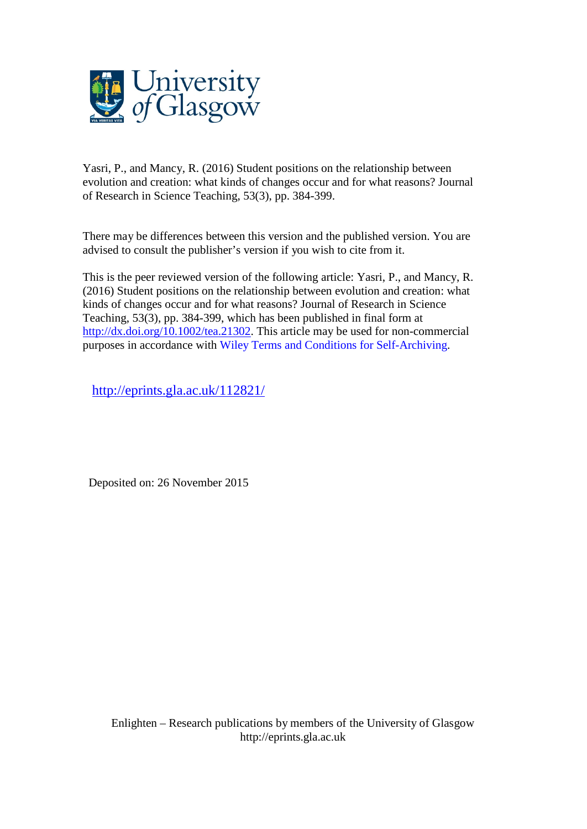

Yasri, P., and Mancy, R. (2016) Student positions on the relationship between evolution and creation: what kinds of changes occur and for what reasons? Journal of Research in Science Teaching, 53(3), pp. 384-399.

There may be differences between this version and the published version. You are advised to consult the publisher's version if you wish to cite from it.

This is the peer reviewed version of the following article: Yasri, P., and Mancy, R. (2016) Student positions on the relationship between evolution and creation: what kinds of changes occur and for what reasons? Journal of Research in Science Teaching, 53(3), pp. 384-399, which has been published in final form at [http://dx.doi.org/10.1002/tea.21302.](http://dx.doi.org/10.1002/tea.21302) This article may be used for non-commercial purposes in accordance with Wiley Terms and Conditions for [Self-Archiving.](http://olabout.wiley.com/WileyCDA/Section/id-828039.html#terms)

<http://eprints.gla.ac.uk/112821/>

Deposited on: 26 November 2015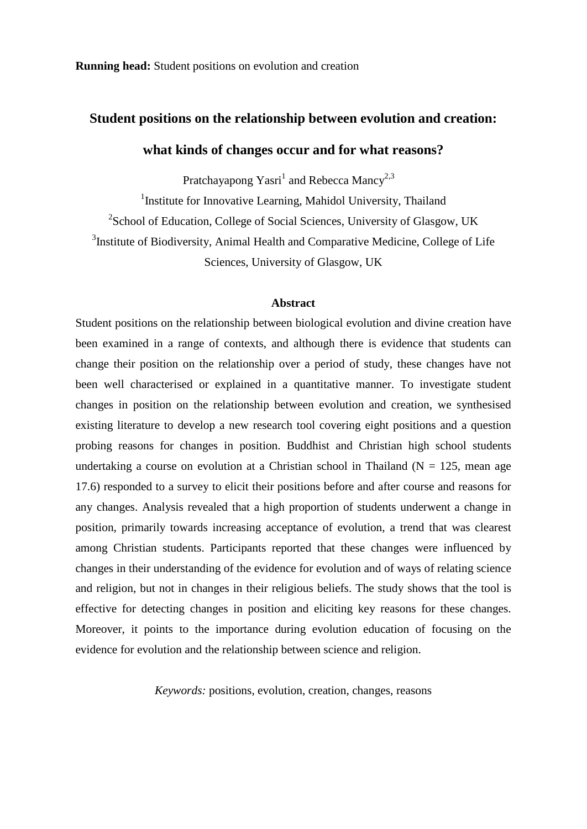**Running head:** Student positions on evolution and creation

# **Student positions on the relationship between evolution and creation:**

# **what kinds of changes occur and for what reasons?**

Pratchayapong Yasri<sup>1</sup> and Rebecca Mancy<sup>2,3</sup>

<sup>1</sup>Institute for Innovative Learning, Mahidol University, Thailand <sup>2</sup>School of Education, College of Social Sciences, University of Glasgow, UK <sup>3</sup>Institute of Biodiversity, Animal Health and Comparative Medicine, College of Life Sciences, University of Glasgow, UK

#### **Abstract**

Student positions on the relationship between biological evolution and divine creation have been examined in a range of contexts, and although there is evidence that students can change their position on the relationship over a period of study, these changes have not been well characterised or explained in a quantitative manner. To investigate student changes in position on the relationship between evolution and creation, we synthesised existing literature to develop a new research tool covering eight positions and a question probing reasons for changes in position. Buddhist and Christian high school students undertaking a course on evolution at a Christian school in Thailand ( $N = 125$ , mean age 17.6) responded to a survey to elicit their positions before and after course and reasons for any changes. Analysis revealed that a high proportion of students underwent a change in position, primarily towards increasing acceptance of evolution, a trend that was clearest among Christian students. Participants reported that these changes were influenced by changes in their understanding of the evidence for evolution and of ways of relating science and religion, but not in changes in their religious beliefs. The study shows that the tool is effective for detecting changes in position and eliciting key reasons for these changes. Moreover, it points to the importance during evolution education of focusing on the evidence for evolution and the relationship between science and religion.

*Keywords:* positions, evolution, creation, changes, reasons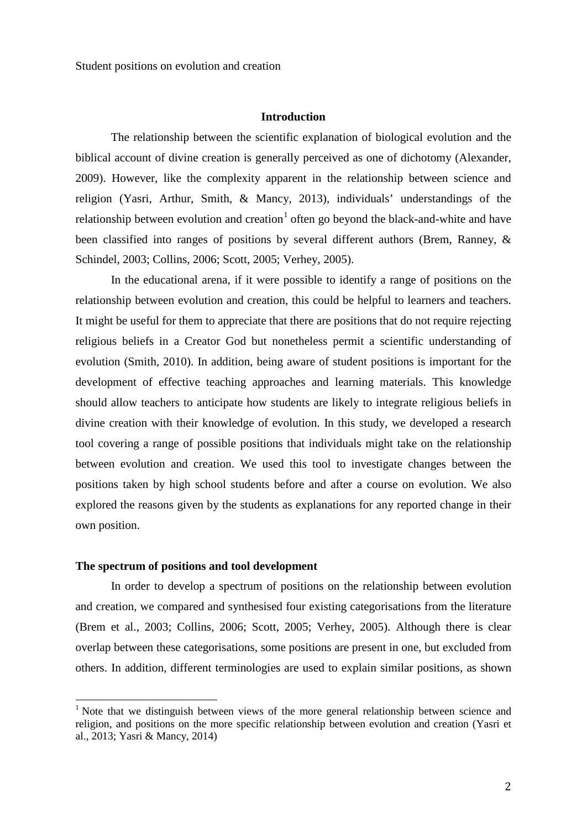#### **Introduction**

The relationship between the scientific explanation of biological evolution and the biblical account of divine creation is generally perceived as one of dichotomy (Alexander, 2009). However, like the complexity apparent in the relationship between science and religion (Yasri, Arthur, Smith, & Mancy, 2013), individuals' understandings of the relationship between evolution and creation<sup>[1](#page-2-0)</sup> often go beyond the black-and-white and have been classified into ranges of positions by several different authors (Brem, Ranney, & Schindel, 2003; Collins, 2006; Scott, 2005; Verhey, 2005).

In the educational arena, if it were possible to identify a range of positions on the relationship between evolution and creation, this could be helpful to learners and teachers. It might be useful for them to appreciate that there are positions that do not require rejecting religious beliefs in a Creator God but nonetheless permit a scientific understanding of evolution (Smith, 2010). In addition, being aware of student positions is important for the development of effective teaching approaches and learning materials. This knowledge should allow teachers to anticipate how students are likely to integrate religious beliefs in divine creation with their knowledge of evolution. In this study, we developed a research tool covering a range of possible positions that individuals might take on the relationship between evolution and creation. We used this tool to investigate changes between the positions taken by high school students before and after a course on evolution. We also explored the reasons given by the students as explanations for any reported change in their own position.

#### **The spectrum of positions and tool development**

In order to develop a spectrum of positions on the relationship between evolution and creation, we compared and synthesised four existing categorisations from the literature (Brem et al., 2003; Collins, 2006; Scott, 2005; Verhey, 2005). Although there is clear overlap between these categorisations, some positions are present in one, but excluded from others. In addition, different terminologies are used to explain similar positions, as shown

<span id="page-2-0"></span><sup>&</sup>lt;sup>1</sup> Note that we distinguish between views of the more general relationship between science and religion, and positions on the more specific relationship between evolution and creation (Yasri et al., 2013; Yasri & Mancy, 2014)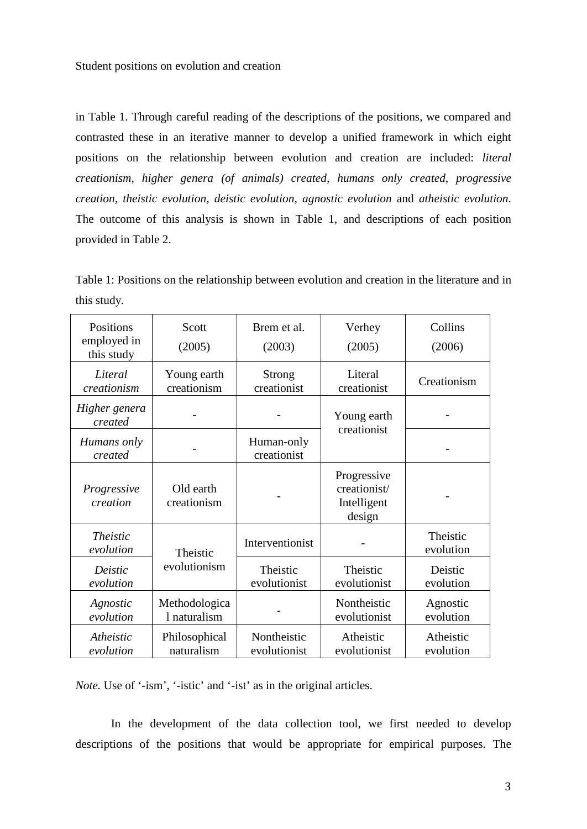Student positions on evolution and creation

in Table 1. Through careful reading of the descriptions of the positions, we compared and contrasted these in an iterative manner to develop a unified framework in which eight positions on the relationship between evolution and creation are included: *literal creationism, higher genera (of animals) created, humans only created, progressive creation, theistic evolution, deistic evolution, agnostic evolution* and *atheistic evolution*. The outcome of this analysis is shown in Table 1, and descriptions of each position provided in Table 2.

Table 1: Positions on the relationship between evolution and creation in the literature and in this study.

| Positions<br>employed in<br>this study | Scott<br>(2005)               | Brem et al.<br>(2003)        | Verhey<br>(2005)                                     | Collins<br>(2006)      |
|----------------------------------------|-------------------------------|------------------------------|------------------------------------------------------|------------------------|
| Literal<br>creationism                 | Young earth<br>creationism    | <b>Strong</b><br>creationist | Literal<br>creationist                               | Creationism            |
| Higher genera<br>created               |                               |                              | Young earth<br>creationist                           |                        |
| Humans only<br>created                 |                               | Human-only<br>creationist    |                                                      |                        |
| Progressive<br>creation                | Old earth<br>creationism      |                              | Progressive<br>creationist/<br>Intelligent<br>design |                        |
| <b>Theistic</b><br>evolution           | Theistic                      | Interventionist              |                                                      | Theistic<br>evolution  |
| Deistic<br>evolution                   | evolutionism                  | Theistic<br>evolutionist     | Theistic<br>evolutionist                             | Deistic<br>evolution   |
| Agnostic<br>evolution                  | Methodologica<br>1 naturalism | Nontheistic<br>evolutionist  |                                                      | Agnostic<br>evolution  |
| Atheistic<br>evolution                 | Philosophical<br>naturalism   | Nontheistic<br>evolutionist  | Atheistic<br>evolutionist                            | Atheistic<br>evolution |

*Note.* Use of '-ism', '-istic' and '-ist' as in the original articles.

In the development of the data collection tool, we first needed to develop descriptions of the positions that would be appropriate for empirical purposes. The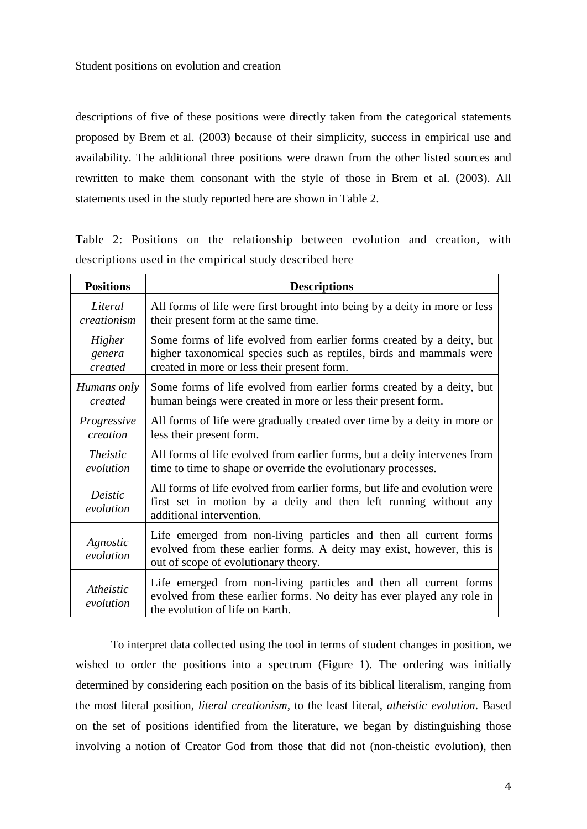descriptions of five of these positions were directly taken from the categorical statements proposed by Brem et al. (2003) because of their simplicity, success in empirical use and availability. The additional three positions were drawn from the other listed sources and rewritten to make them consonant with the style of those in Brem et al. (2003). All statements used in the study reported here are shown in Table 2.

Table 2: Positions on the relationship between evolution and creation, with descriptions used in the empirical study described here

| <b>Positions</b>       | <b>Descriptions</b>                                                                                                                                                                |
|------------------------|------------------------------------------------------------------------------------------------------------------------------------------------------------------------------------|
| Literal                | All forms of life were first brought into being by a deity in more or less                                                                                                         |
| creationism            | their present form at the same time.                                                                                                                                               |
| Higher                 | Some forms of life evolved from earlier forms created by a deity, but                                                                                                              |
| genera                 | higher taxonomical species such as reptiles, birds and mammals were                                                                                                                |
| created                | created in more or less their present form.                                                                                                                                        |
| Humans only            | Some forms of life evolved from earlier forms created by a deity, but                                                                                                              |
| created                | human beings were created in more or less their present form.                                                                                                                      |
| Progressive            | All forms of life were gradually created over time by a deity in more or                                                                                                           |
| creation               | less their present form.                                                                                                                                                           |
| <i>Theistic</i>        | All forms of life evolved from earlier forms, but a deity intervenes from                                                                                                          |
| evolution              | time to time to shape or override the evolutionary processes.                                                                                                                      |
| Deistic<br>evolution   | All forms of life evolved from earlier forms, but life and evolution were<br>first set in motion by a deity and then left running without any<br>additional intervention.          |
| Agnostic<br>evolution  | Life emerged from non-living particles and then all current forms<br>evolved from these earlier forms. A deity may exist, however, this is<br>out of scope of evolutionary theory. |
| Atheistic<br>evolution | Life emerged from non-living particles and then all current forms<br>evolved from these earlier forms. No deity has ever played any role in<br>the evolution of life on Earth.     |

To interpret data collected using the tool in terms of student changes in position, we wished to order the positions into a spectrum (Figure 1). The ordering was initially determined by considering each position on the basis of its biblical literalism, ranging from the most literal position, *literal creationism*, to the least literal, *atheistic evolution*. Based on the set of positions identified from the literature, we began by distinguishing those involving a notion of Creator God from those that did not (non-theistic evolution), then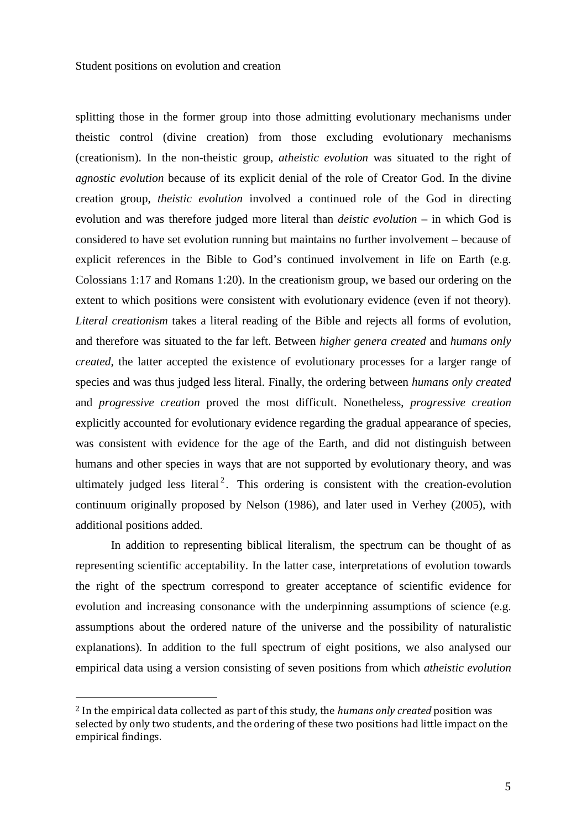splitting those in the former group into those admitting evolutionary mechanisms under theistic control (divine creation) from those excluding evolutionary mechanisms (creationism). In the non-theistic group, *atheistic evolution* was situated to the right of *agnostic evolution* because of its explicit denial of the role of Creator God. In the divine creation group, *theistic evolution* involved a continued role of the God in directing evolution and was therefore judged more literal than *deistic evolution* – in which God is considered to have set evolution running but maintains no further involvement – because of explicit references in the Bible to God's continued involvement in life on Earth (e.g. Colossians 1:17 and Romans 1:20). In the creationism group, we based our ordering on the extent to which positions were consistent with evolutionary evidence (even if not theory). *Literal creationism* takes a literal reading of the Bible and rejects all forms of evolution, and therefore was situated to the far left. Between *higher genera created* and *humans only created*, the latter accepted the existence of evolutionary processes for a larger range of species and was thus judged less literal. Finally, the ordering between *humans only created* and *progressive creation* proved the most difficult. Nonetheless, *progressive creation* explicitly accounted for evolutionary evidence regarding the gradual appearance of species, was consistent with evidence for the age of the Earth, and did not distinguish between humans and other species in ways that are not supported by evolutionary theory, and was ultimately judged less literal<sup>[2](#page-5-0)</sup>. This ordering is consistent with the creation-evolution continuum originally proposed by Nelson (1986), and later used in Verhey (2005), with additional positions added.

In addition to representing biblical literalism, the spectrum can be thought of as representing scientific acceptability. In the latter case, interpretations of evolution towards the right of the spectrum correspond to greater acceptance of scientific evidence for evolution and increasing consonance with the underpinning assumptions of science (e.g. assumptions about the ordered nature of the universe and the possibility of naturalistic explanations). In addition to the full spectrum of eight positions, we also analysed our empirical data using a version consisting of seven positions from which *atheistic evolution*

<span id="page-5-0"></span> <sup>2</sup> In the empirical data collected as part of this study, the *humans only created* position was selected by only two students, and the ordering of these two positions had little impact on the empirical findings.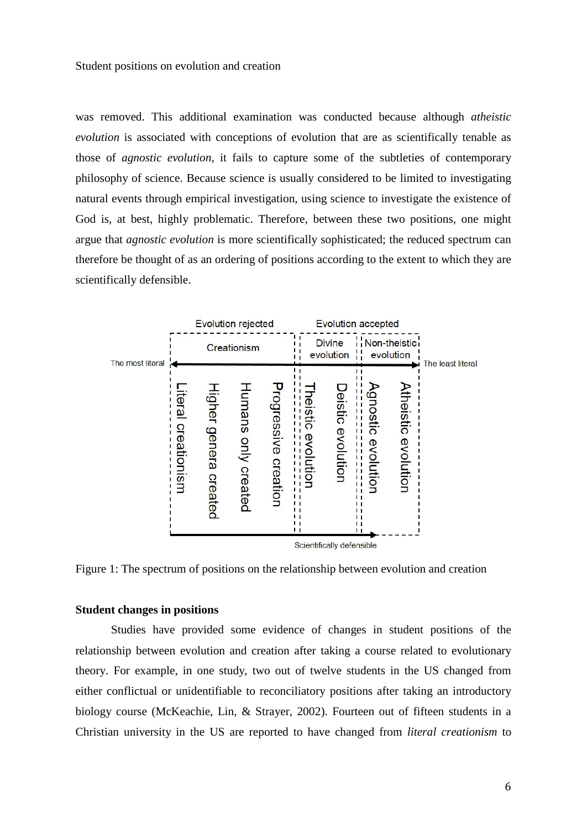was removed. This additional examination was conducted because although *atheistic evolution* is associated with conceptions of evolution that are as scientifically tenable as those of *agnostic evolution*, it fails to capture some of the subtleties of contemporary philosophy of science. Because science is usually considered to be limited to investigating natural events through empirical investigation, using science to investigate the existence of God is, at best, highly problematic. Therefore, between these two positions, one might argue that *agnostic evolution* is more scientifically sophisticated; the reduced spectrum can therefore be thought of as an ordering of positions according to the extent to which they are scientifically defensible.



Figure 1: The spectrum of positions on the relationship between evolution and creation

#### **Student changes in positions**

Studies have provided some evidence of changes in student positions of the relationship between evolution and creation after taking a course related to evolutionary theory. For example, in one study, two out of twelve students in the US changed from either conflictual or unidentifiable to reconciliatory positions after taking an introductory biology course (McKeachie, Lin, & Strayer, 2002). Fourteen out of fifteen students in a Christian university in the US are reported to have changed from *literal creationism* to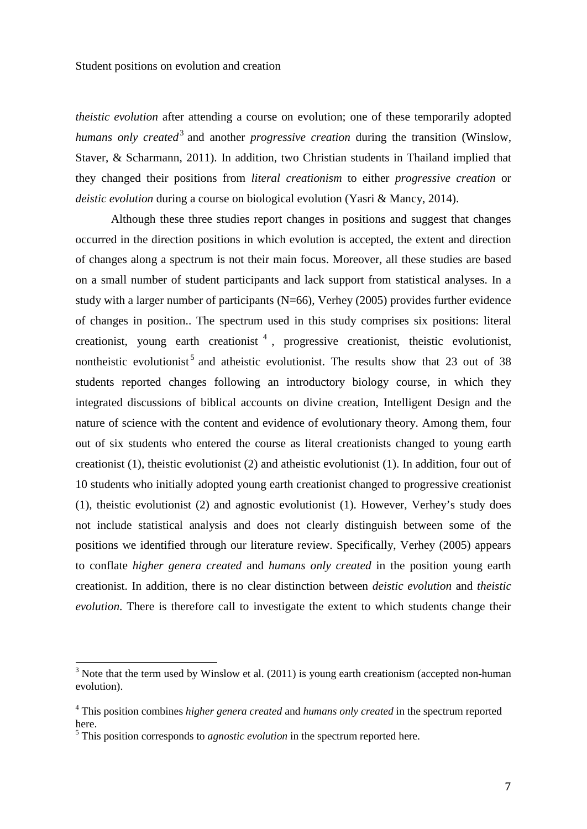*theistic evolution* after attending a course on evolution; one of these temporarily adopted *humans only created*<sup>[3](#page-7-0)</sup> and another *progressive creation* during the transition (Winslow, Staver, & Scharmann, 2011). In addition, two Christian students in Thailand implied that they changed their positions from *literal creationism* to either *progressive creation* or *deistic evolution* during a course on biological evolution (Yasri & Mancy, 2014).

Although these three studies report changes in positions and suggest that changes occurred in the direction positions in which evolution is accepted, the extent and direction of changes along a spectrum is not their main focus. Moreover, all these studies are based on a small number of student participants and lack support from statistical analyses. In a study with a larger number of participants  $(N=66)$ , Verhey (2005) provides further evidence of changes in position.. The spectrum used in this study comprises six positions: literal creationist, young earth creationist  $<sup>4</sup>$  $<sup>4</sup>$  $<sup>4</sup>$ , progressive creationist, theistic evolutionist,</sup> nontheistic evolutionist<sup>[5](#page-7-2)</sup> and atheistic evolutionist. The results show that 23 out of 38 students reported changes following an introductory biology course, in which they integrated discussions of biblical accounts on divine creation, Intelligent Design and the nature of science with the content and evidence of evolutionary theory. Among them, four out of six students who entered the course as literal creationists changed to young earth creationist (1), theistic evolutionist (2) and atheistic evolutionist (1). In addition, four out of 10 students who initially adopted young earth creationist changed to progressive creationist (1), theistic evolutionist (2) and agnostic evolutionist (1). However, Verhey's study does not include statistical analysis and does not clearly distinguish between some of the positions we identified through our literature review. Specifically, Verhey (2005) appears to conflate *higher genera created* and *humans only created* in the position young earth creationist. In addition, there is no clear distinction between *deistic evolution* and *theistic evolution*. There is therefore call to investigate the extent to which students change their

<span id="page-7-0"></span> $3$  Note that the term used by Winslow et al. (2011) is young earth creationism (accepted non-human evolution).

<span id="page-7-1"></span><sup>4</sup> This position combines *higher genera created* and *humans only created* in the spectrum reported here.<br><sup>5</sup> This position corresponds to *agnostic evolution* in the spectrum reported here.

<span id="page-7-2"></span>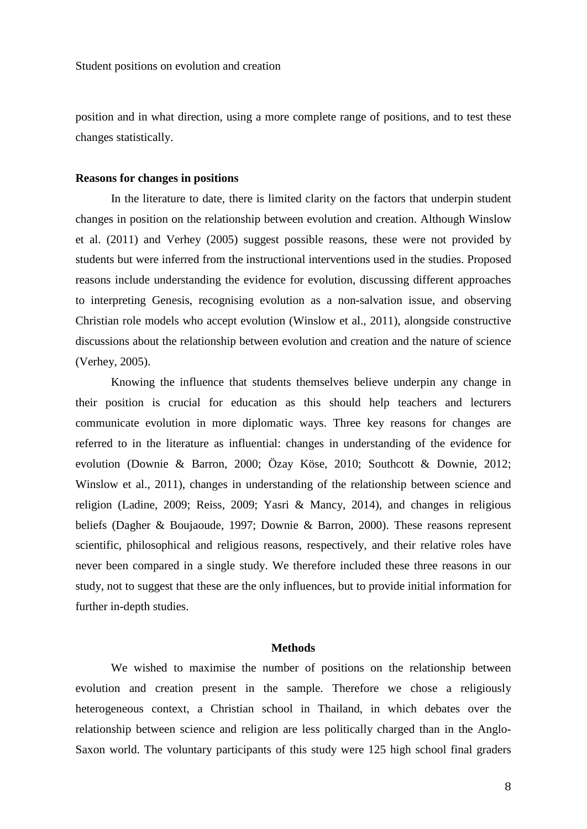position and in what direction, using a more complete range of positions, and to test these changes statistically.

#### **Reasons for changes in positions**

In the literature to date, there is limited clarity on the factors that underpin student changes in position on the relationship between evolution and creation. Although Winslow et al. (2011) and Verhey (2005) suggest possible reasons, these were not provided by students but were inferred from the instructional interventions used in the studies. Proposed reasons include understanding the evidence for evolution, discussing different approaches to interpreting Genesis, recognising evolution as a non-salvation issue, and observing Christian role models who accept evolution (Winslow et al., 2011), alongside constructive discussions about the relationship between evolution and creation and the nature of science (Verhey, 2005).

Knowing the influence that students themselves believe underpin any change in their position is crucial for education as this should help teachers and lecturers communicate evolution in more diplomatic ways. Three key reasons for changes are referred to in the literature as influential: changes in understanding of the evidence for evolution (Downie & Barron, 2000; Özay Köse, 2010; Southcott & Downie, 2012; Winslow et al., 2011), changes in understanding of the relationship between science and religion (Ladine, 2009; Reiss, 2009; Yasri & Mancy, 2014), and changes in religious beliefs (Dagher & Boujaoude, 1997; Downie & Barron, 2000). These reasons represent scientific, philosophical and religious reasons, respectively, and their relative roles have never been compared in a single study. We therefore included these three reasons in our study, not to suggest that these are the only influences, but to provide initial information for further in-depth studies.

#### **Methods**

We wished to maximise the number of positions on the relationship between evolution and creation present in the sample. Therefore we chose a religiously heterogeneous context, a Christian school in Thailand, in which debates over the relationship between science and religion are less politically charged than in the Anglo-Saxon world. The voluntary participants of this study were 125 high school final graders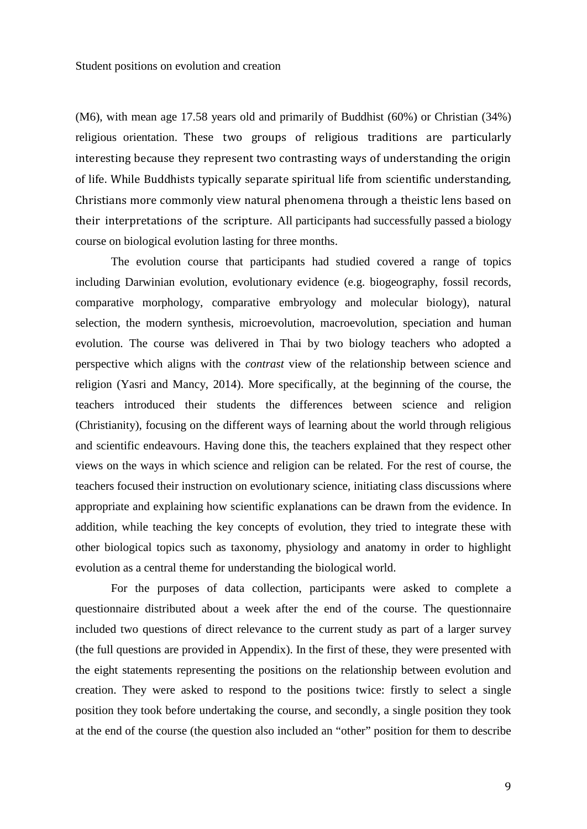(M6), with mean age 17.58 years old and primarily of Buddhist (60%) or Christian (34%) religious orientation. These two groups of religious traditions are particularly interesting because they represent two contrasting ways of understanding the origin of life. While Buddhists typically separate spiritual life from scientific understanding, Christians more commonly view natural phenomena through a theistic lens based on their interpretations of the scripture. All participants had successfully passed a biology course on biological evolution lasting for three months.

The evolution course that participants had studied covered a range of topics including Darwinian evolution, evolutionary evidence (e.g. biogeography, fossil records, comparative morphology, comparative embryology and molecular biology), natural selection, the modern synthesis, microevolution, macroevolution, speciation and human evolution. The course was delivered in Thai by two biology teachers who adopted a perspective which aligns with the *contrast* view of the relationship between science and religion (Yasri and Mancy, 2014). More specifically, at the beginning of the course, the teachers introduced their students the differences between science and religion (Christianity), focusing on the different ways of learning about the world through religious and scientific endeavours. Having done this, the teachers explained that they respect other views on the ways in which science and religion can be related. For the rest of course, the teachers focused their instruction on evolutionary science, initiating class discussions where appropriate and explaining how scientific explanations can be drawn from the evidence. In addition, while teaching the key concepts of evolution, they tried to integrate these with other biological topics such as taxonomy, physiology and anatomy in order to highlight evolution as a central theme for understanding the biological world.

For the purposes of data collection, participants were asked to complete a questionnaire distributed about a week after the end of the course. The questionnaire included two questions of direct relevance to the current study as part of a larger survey (the full questions are provided in Appendix). In the first of these, they were presented with the eight statements representing the positions on the relationship between evolution and creation. They were asked to respond to the positions twice: firstly to select a single position they took before undertaking the course, and secondly, a single position they took at the end of the course (the question also included an "other" position for them to describe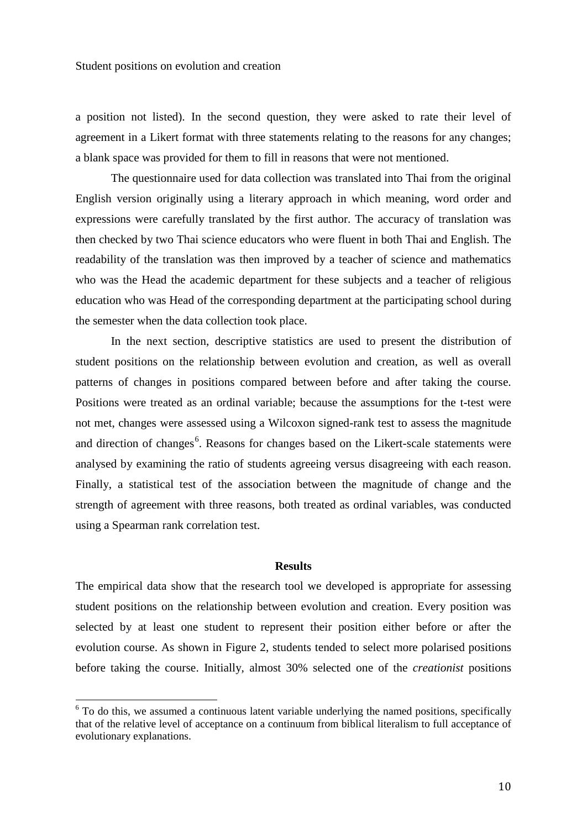a position not listed). In the second question, they were asked to rate their level of agreement in a Likert format with three statements relating to the reasons for any changes; a blank space was provided for them to fill in reasons that were not mentioned.

The questionnaire used for data collection was translated into Thai from the original English version originally using a literary approach in which meaning, word order and expressions were carefully translated by the first author. The accuracy of translation was then checked by two Thai science educators who were fluent in both Thai and English. The readability of the translation was then improved by a teacher of science and mathematics who was the Head the academic department for these subjects and a teacher of religious education who was Head of the corresponding department at the participating school during the semester when the data collection took place.

In the next section, descriptive statistics are used to present the distribution of student positions on the relationship between evolution and creation, as well as overall patterns of changes in positions compared between before and after taking the course. Positions were treated as an ordinal variable; because the assumptions for the t-test were not met, changes were assessed using a Wilcoxon signed-rank test to assess the magnitude and direction of changes<sup>[6](#page-10-0)</sup>. Reasons for changes based on the Likert-scale statements were analysed by examining the ratio of students agreeing versus disagreeing with each reason. Finally, a statistical test of the association between the magnitude of change and the strength of agreement with three reasons, both treated as ordinal variables, was conducted using a Spearman rank correlation test.

#### **Results**

The empirical data show that the research tool we developed is appropriate for assessing student positions on the relationship between evolution and creation. Every position was selected by at least one student to represent their position either before or after the evolution course. As shown in Figure 2, students tended to select more polarised positions before taking the course. Initially, almost 30% selected one of the *creationist* positions

<span id="page-10-0"></span><sup>&</sup>lt;sup>6</sup> To do this, we assumed a continuous latent variable underlying the named positions, specifically that of the relative level of acceptance on a continuum from biblical literalism to full acceptance of evolutionary explanations.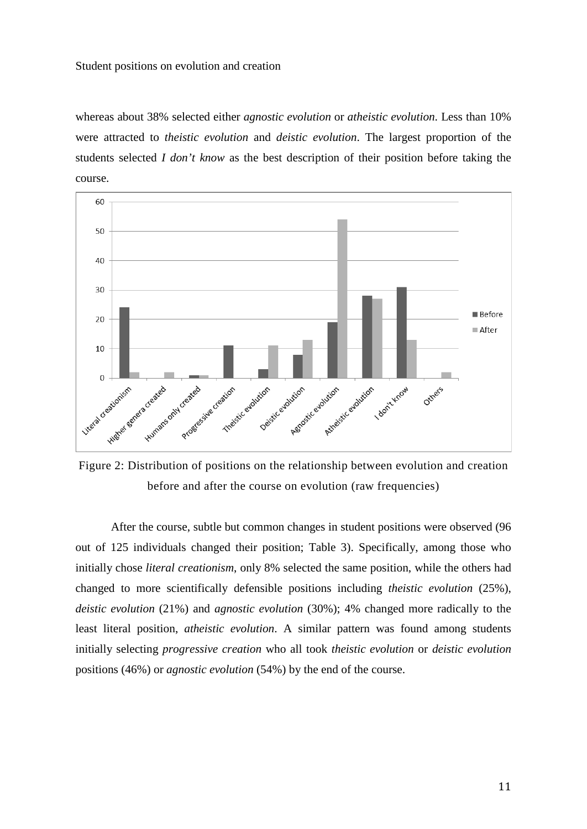#### Student positions on evolution and creation

whereas about 38% selected either *agnostic evolution* or *atheistic evolution*. Less than 10% were attracted to *theistic evolution* and *deistic evolution*. The largest proportion of the students selected *I don't know* as the best description of their position before taking the course.



Figure 2: Distribution of positions on the relationship between evolution and creation before and after the course on evolution (raw frequencies)

After the course, subtle but common changes in student positions were observed (96 out of 125 individuals changed their position; Table 3). Specifically, among those who initially chose *literal creationism*, only 8% selected the same position, while the others had changed to more scientifically defensible positions including *theistic evolution* (25%), *deistic evolution* (21%) and *agnostic evolution* (30%); 4% changed more radically to the least literal position, *atheistic evolution*. A similar pattern was found among students initially selecting *progressive creation* who all took *theistic evolution* or *deistic evolution* positions (46%) or *agnostic evolution* (54%) by the end of the course.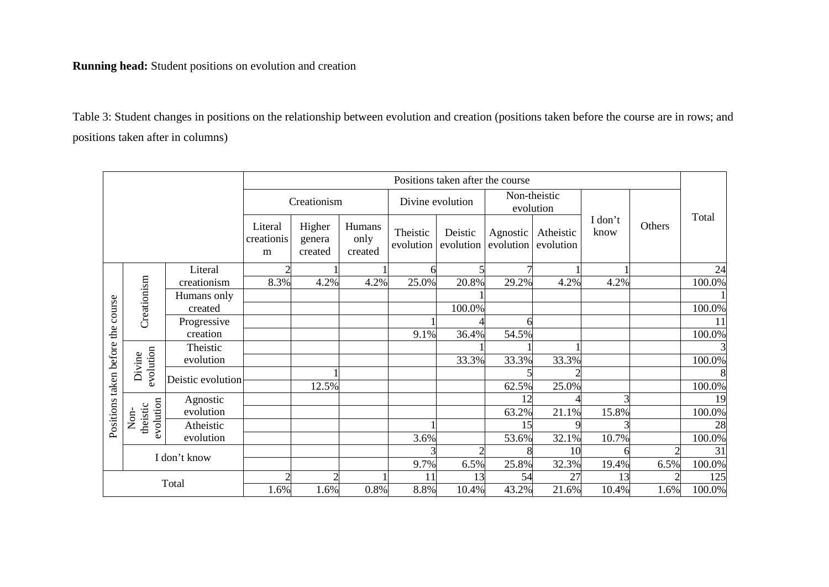## **Running head:** Student positions on evolution and creation

Table 3: Student changes in positions on the relationship between evolution and creation (positions taken before the course are in rows; and positions taken after in columns)

| Positions taken after the course  |                       |                                |                             |                           |                       |                           |                       |                        |                 |        |           |        |
|-----------------------------------|-----------------------|--------------------------------|-----------------------------|---------------------------|-----------------------|---------------------------|-----------------------|------------------------|-----------------|--------|-----------|--------|
|                                   |                       | Creationism                    |                             | Divine evolution          |                       | Non-theistic<br>evolution |                       |                        |                 |        |           |        |
|                                   |                       | Literal<br>creationis<br>m     | Higher<br>genera<br>created | Humans<br>only<br>created | Theistic<br>evolution | Deistic<br>evolution      | Agnostic<br>evolution | Atheistic<br>evolution | I don't<br>know | Others | Total     |        |
|                                   |                       | Literal                        | $\mathcal{D}$               |                           |                       |                           |                       |                        |                 |        |           | 24     |
|                                   | Creationism           | creationism                    | 8.3%                        | 4.2%                      | 4.2%                  | 25.0%                     | 20.8%                 | 29.2%                  | 4.2%            | 4.2%   |           | 100.0% |
|                                   |                       | Humans only                    |                             |                           |                       |                           |                       |                        |                 |        |           |        |
| Positions taken before the course |                       | created                        |                             |                           |                       |                           | 100.0%                |                        |                 |        |           | 100.0% |
|                                   |                       | Progressive                    |                             |                           |                       |                           |                       |                        |                 |        |           | 11     |
|                                   |                       | creation                       |                             |                           |                       | 9.1%                      | 36.4%                 | 54.5%                  |                 |        |           | 100.0% |
|                                   |                       | Theistic                       |                             |                           |                       |                           |                       |                        |                 |        |           |        |
|                                   |                       | evolution                      |                             |                           |                       |                           | 33.3%                 | 33.3%                  | 33.3%           |        |           | 100.0% |
|                                   | Divine                | evolution<br>Deistic evolution |                             |                           |                       |                           |                       |                        |                 |        |           | 8      |
|                                   |                       |                                |                             | 12.5%                     |                       |                           |                       | 62.5%                  | 25.0%           |        |           | 100.0% |
|                                   |                       | Agnostic                       |                             |                           |                       |                           |                       |                        |                 |        |           | 19     |
|                                   | Non-                  | evolution                      |                             |                           |                       |                           |                       | 63.2%                  | 21.1%           | 15.8%  |           | 100.0% |
|                                   | evolution<br>theistic | Atheistic                      |                             |                           |                       |                           |                       | 15                     |                 |        |           | 28     |
|                                   |                       | evolution                      |                             |                           |                       | 3.6%                      |                       | 53.6%                  | 32.1%           | 10.7%  |           | 100.0% |
|                                   | I don't know          |                                |                             |                           |                       |                           |                       |                        | 10              |        |           | 31     |
|                                   |                       |                                |                             |                           |                       | 9.7%                      | 6.5%                  | 25.8%                  | 32.3%           | 19.4%  | 6.5%      | 100.0% |
| Total                             |                       | 2                              |                             |                           | 11                    | 13                        | 54                    | 27                     | 13              |        | 125       |        |
|                                   |                       | 1.6%                           | 1.6%                        | 0.8%                      | 8.8%                  | 10.4%                     | 43.2%                 | 21.6%                  | 10.4%           | 1.6%   | $100.0\%$ |        |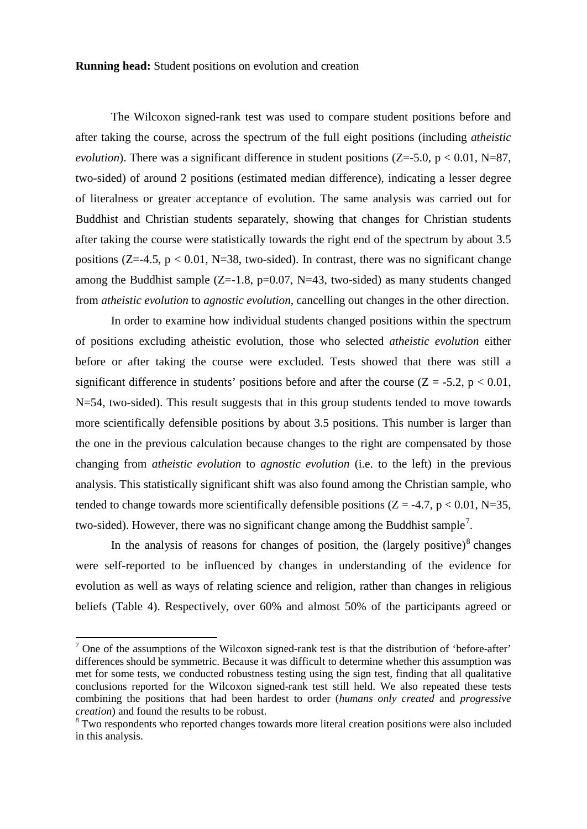**Running head:** Student positions on evolution and creation

The Wilcoxon signed-rank test was used to compare student positions before and after taking the course, across the spectrum of the full eight positions (including *atheistic evolution*). There was a significant difference in student positions ( $Z=-5.0$ ,  $p < 0.01$ , N=87, two-sided) of around 2 positions (estimated median difference), indicating a lesser degree of literalness or greater acceptance of evolution. The same analysis was carried out for Buddhist and Christian students separately, showing that changes for Christian students after taking the course were statistically towards the right end of the spectrum by about 3.5 positions ( $Z=-4.5$ ,  $p < 0.01$ , N=38, two-sided). In contrast, there was no significant change among the Buddhist sample  $(Z=-1.8, p=0.07, N=43, two-sided)$  as many students changed from *atheistic evolution* to *agnostic evolution*, cancelling out changes in the other direction.

In order to examine how individual students changed positions within the spectrum of positions excluding atheistic evolution, those who selected *atheistic evolution* either before or after taking the course were excluded. Tests showed that there was still a significant difference in students' positions before and after the course  $(Z = -5.2, p < 0.01,$ N=54, two-sided). This result suggests that in this group students tended to move towards more scientifically defensible positions by about 3.5 positions. This number is larger than the one in the previous calculation because changes to the right are compensated by those changing from *atheistic evolution* to *agnostic evolution* (i.e. to the left) in the previous analysis. This statistically significant shift was also found among the Christian sample, who tended to change towards more scientifically defensible positions ( $Z = -4.7$ ,  $p < 0.01$ , N=35, two-sided). However, there was no significant change among the Buddhist sample<sup>[7](#page-13-0)</sup>.

In the analysis of reasons for changes of position, the  $\left(l{argely positive}\right)^8$  $\left(l{argely positive}\right)^8$  changes were self-reported to be influenced by changes in understanding of the evidence for evolution as well as ways of relating science and religion, rather than changes in religious beliefs (Table 4). Respectively, over 60% and almost 50% of the participants agreed or

<span id="page-13-0"></span> $<sup>7</sup>$  One of the assumptions of the Wilcoxon signed-rank test is that the distribution of 'before-after'</sup> differences should be symmetric. Because it was difficult to determine whether this assumption was met for some tests, we conducted robustness testing using the sign test, finding that all qualitative conclusions reported for the Wilcoxon signed-rank test still held. We also repeated these tests combining the positions that had been hardest to order (*humans only created* and *progressive creation*) and found the results to be robust.

<span id="page-13-1"></span><sup>&</sup>lt;sup>8</sup> Two respondents who reported changes towards more literal creation positions were also included in this analysis.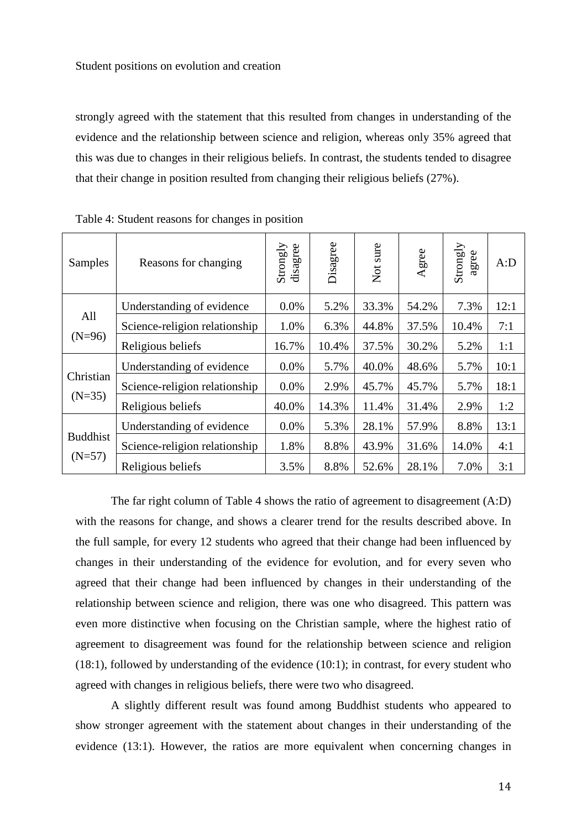strongly agreed with the statement that this resulted from changes in understanding of the evidence and the relationship between science and religion, whereas only 35% agreed that this was due to changes in their religious beliefs. In contrast, the students tended to disagree that their change in position resulted from changing their religious beliefs (27%).

| <b>Samples</b>              | Reasons for changing          | Strongly<br>disagree | Disagree | sure<br>$\overrightarrow{C}$ | Agree | Strongly<br>agree | A:D  |
|-----------------------------|-------------------------------|----------------------|----------|------------------------------|-------|-------------------|------|
| All<br>$(N=96)$             | Understanding of evidence     | $0.0\%$              | 5.2%     | 33.3%                        | 54.2% | 7.3%              | 12:1 |
|                             | Science-religion relationship | 1.0%                 | 6.3%     | 44.8%                        | 37.5% | 10.4%             | 7:1  |
|                             | Religious beliefs             | 16.7%                | 10.4%    | 37.5%                        | 30.2% | 5.2%              | 1:1  |
| Christian<br>$(N=35)$       | Understanding of evidence     | 0.0%                 | 5.7%     | 40.0%                        | 48.6% | 5.7%              | 10:1 |
|                             | Science-religion relationship | 0.0%                 | 2.9%     | 45.7%                        | 45.7% | 5.7%              | 18:1 |
|                             | Religious beliefs             | 40.0%                | 14.3%    | 11.4%                        | 31.4% | 2.9%              | 1:2  |
| <b>Buddhist</b><br>$(N=57)$ | Understanding of evidence     | 0.0%                 | 5.3%     | 28.1%                        | 57.9% | 8.8%              | 13:1 |
|                             | Science-religion relationship | 1.8%                 | 8.8%     | 43.9%                        | 31.6% | 14.0%             | 4:1  |
|                             | Religious beliefs             | 3.5%                 | 8.8%     | 52.6%                        | 28.1% | 7.0%              | 3:1  |

Table 4: Student reasons for changes in position

The far right column of Table 4 shows the ratio of agreement to disagreement (A:D) with the reasons for change, and shows a clearer trend for the results described above. In the full sample, for every 12 students who agreed that their change had been influenced by changes in their understanding of the evidence for evolution, and for every seven who agreed that their change had been influenced by changes in their understanding of the relationship between science and religion, there was one who disagreed. This pattern was even more distinctive when focusing on the Christian sample, where the highest ratio of agreement to disagreement was found for the relationship between science and religion (18:1), followed by understanding of the evidence (10:1); in contrast, for every student who agreed with changes in religious beliefs, there were two who disagreed.

A slightly different result was found among Buddhist students who appeared to show stronger agreement with the statement about changes in their understanding of the evidence (13:1). However, the ratios are more equivalent when concerning changes in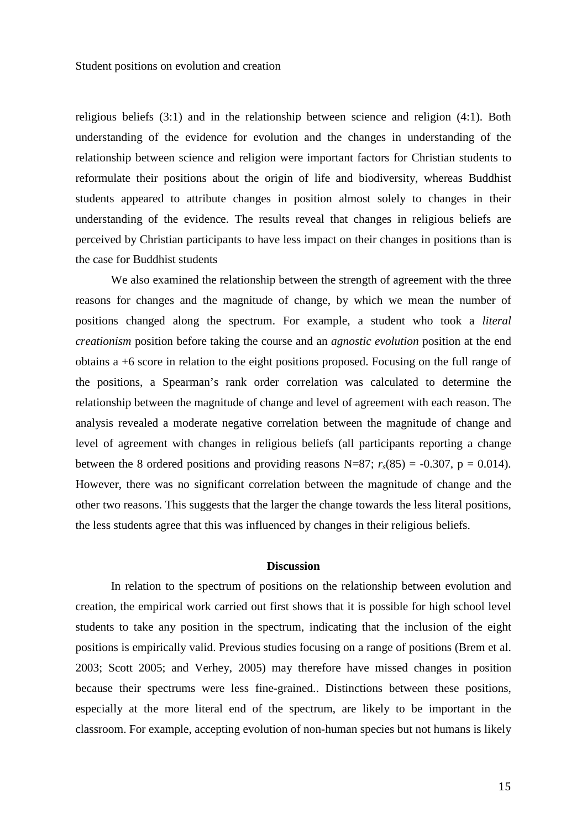religious beliefs (3:1) and in the relationship between science and religion (4:1). Both understanding of the evidence for evolution and the changes in understanding of the relationship between science and religion were important factors for Christian students to reformulate their positions about the origin of life and biodiversity, whereas Buddhist students appeared to attribute changes in position almost solely to changes in their understanding of the evidence. The results reveal that changes in religious beliefs are perceived by Christian participants to have less impact on their changes in positions than is the case for Buddhist students

We also examined the relationship between the strength of agreement with the three reasons for changes and the magnitude of change, by which we mean the number of positions changed along the spectrum. For example, a student who took a *literal creationism* position before taking the course and an *agnostic evolution* position at the end obtains a +6 score in relation to the eight positions proposed. Focusing on the full range of the positions, a Spearman's rank order correlation was calculated to determine the relationship between the magnitude of change and level of agreement with each reason. The analysis revealed a moderate negative correlation between the magnitude of change and level of agreement with changes in religious beliefs (all participants reporting a change between the 8 ordered positions and providing reasons N=87;  $r_s(85) = -0.307$ , p = 0.014). However, there was no significant correlation between the magnitude of change and the other two reasons. This suggests that the larger the change towards the less literal positions, the less students agree that this was influenced by changes in their religious beliefs.

#### **Discussion**

In relation to the spectrum of positions on the relationship between evolution and creation, the empirical work carried out first shows that it is possible for high school level students to take any position in the spectrum, indicating that the inclusion of the eight positions is empirically valid. Previous studies focusing on a range of positions (Brem et al. 2003; Scott 2005; and Verhey, 2005) may therefore have missed changes in position because their spectrums were less fine-grained.. Distinctions between these positions, especially at the more literal end of the spectrum, are likely to be important in the classroom. For example, accepting evolution of non-human species but not humans is likely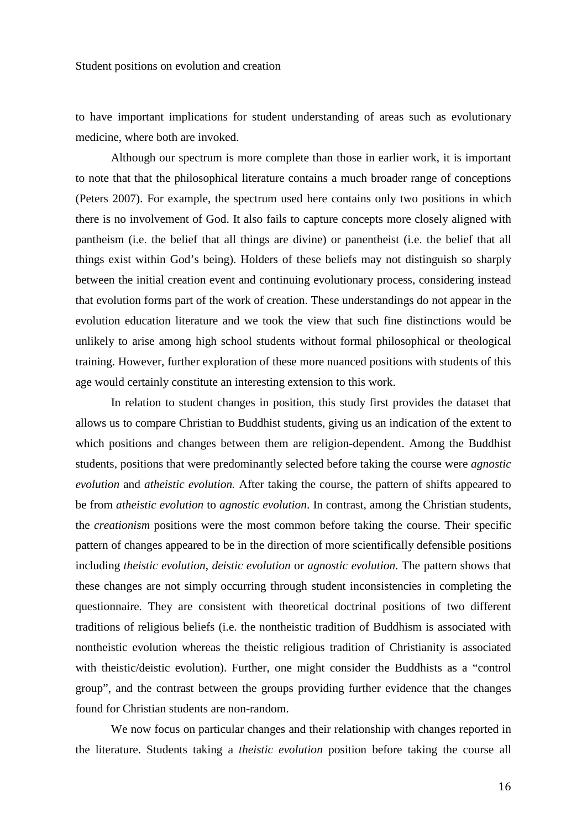to have important implications for student understanding of areas such as evolutionary medicine, where both are invoked.

Although our spectrum is more complete than those in earlier work, it is important to note that that the philosophical literature contains a much broader range of conceptions (Peters 2007). For example, the spectrum used here contains only two positions in which there is no involvement of God. It also fails to capture concepts more closely aligned with pantheism (i.e. the belief that all things are divine) or panentheist (i.e. the belief that all things exist within God's being). Holders of these beliefs may not distinguish so sharply between the initial creation event and continuing evolutionary process, considering instead that evolution forms part of the work of creation. These understandings do not appear in the evolution education literature and we took the view that such fine distinctions would be unlikely to arise among high school students without formal philosophical or theological training. However, further exploration of these more nuanced positions with students of this age would certainly constitute an interesting extension to this work.

In relation to student changes in position, this study first provides the dataset that allows us to compare Christian to Buddhist students, giving us an indication of the extent to which positions and changes between them are religion-dependent. Among the Buddhist students, positions that were predominantly selected before taking the course were *agnostic evolution* and *atheistic evolution.* After taking the course, the pattern of shifts appeared to be from *atheistic evolution* to *agnostic evolution*. In contrast, among the Christian students, the *creationism* positions were the most common before taking the course. Their specific pattern of changes appeared to be in the direction of more scientifically defensible positions including *theistic evolution*, *deistic evolution* or *agnostic evolution*. The pattern shows that these changes are not simply occurring through student inconsistencies in completing the questionnaire. They are consistent with theoretical doctrinal positions of two different traditions of religious beliefs (i.e. the nontheistic tradition of Buddhism is associated with nontheistic evolution whereas the theistic religious tradition of Christianity is associated with theistic/deistic evolution). Further, one might consider the Buddhists as a "control group", and the contrast between the groups providing further evidence that the changes found for Christian students are non-random.

We now focus on particular changes and their relationship with changes reported in the literature. Students taking a *theistic evolution* position before taking the course all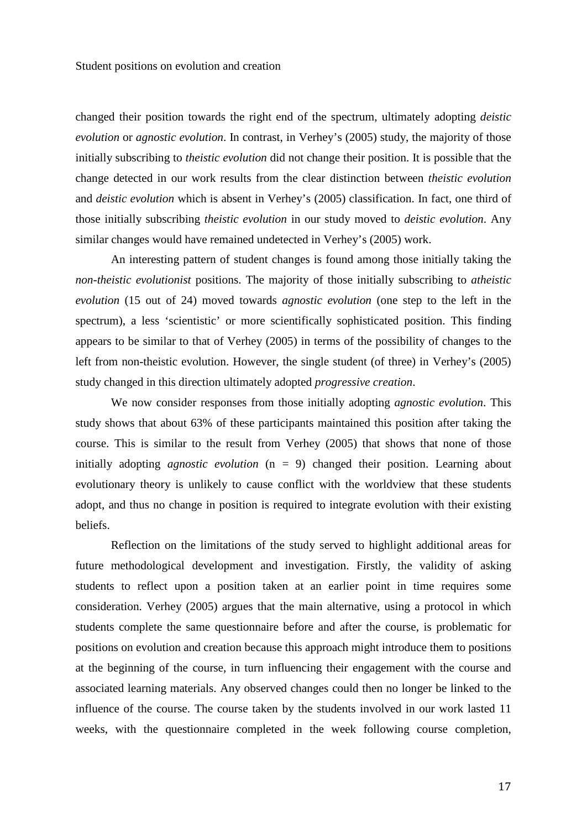changed their position towards the right end of the spectrum, ultimately adopting *deistic evolution* or *agnostic evolution*. In contrast, in Verhey's (2005) study, the majority of those initially subscribing to *theistic evolution* did not change their position. It is possible that the change detected in our work results from the clear distinction between *theistic evolution* and *deistic evolution* which is absent in Verhey's (2005) classification. In fact, one third of those initially subscribing *theistic evolution* in our study moved to *deistic evolution*. Any similar changes would have remained undetected in Verhey's (2005) work.

An interesting pattern of student changes is found among those initially taking the *non-theistic evolutionist* positions. The majority of those initially subscribing to *atheistic evolution* (15 out of 24) moved towards *agnostic evolution* (one step to the left in the spectrum), a less 'scientistic' or more scientifically sophisticated position. This finding appears to be similar to that of Verhey (2005) in terms of the possibility of changes to the left from non-theistic evolution. However, the single student (of three) in Verhey's (2005) study changed in this direction ultimately adopted *progressive creation*.

We now consider responses from those initially adopting *agnostic evolution*. This study shows that about 63% of these participants maintained this position after taking the course. This is similar to the result from Verhey (2005) that shows that none of those initially adopting *agnostic evolution* (n = 9) changed their position. Learning about evolutionary theory is unlikely to cause conflict with the worldview that these students adopt, and thus no change in position is required to integrate evolution with their existing beliefs.

Reflection on the limitations of the study served to highlight additional areas for future methodological development and investigation. Firstly, the validity of asking students to reflect upon a position taken at an earlier point in time requires some consideration. Verhey (2005) argues that the main alternative, using a protocol in which students complete the same questionnaire before and after the course, is problematic for positions on evolution and creation because this approach might introduce them to positions at the beginning of the course, in turn influencing their engagement with the course and associated learning materials. Any observed changes could then no longer be linked to the influence of the course. The course taken by the students involved in our work lasted 11 weeks, with the questionnaire completed in the week following course completion,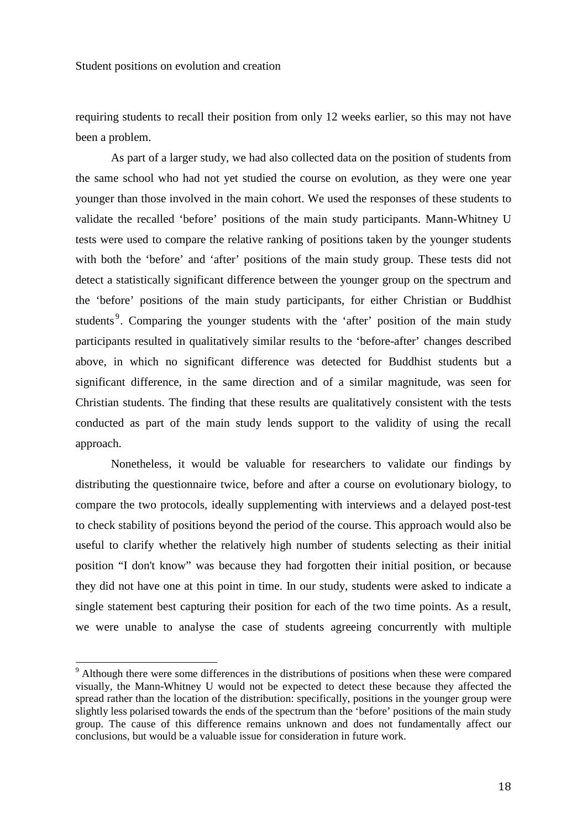requiring students to recall their position from only 12 weeks earlier, so this may not have been a problem.

As part of a larger study, we had also collected data on the position of students from the same school who had not yet studied the course on evolution, as they were one year younger than those involved in the main cohort. We used the responses of these students to validate the recalled 'before' positions of the main study participants. Mann-Whitney U tests were used to compare the relative ranking of positions taken by the younger students with both the 'before' and 'after' positions of the main study group. These tests did not detect a statistically significant difference between the younger group on the spectrum and the 'before' positions of the main study participants, for either Christian or Buddhist students<sup>[9](#page-18-0)</sup>. Comparing the younger students with the 'after' position of the main study participants resulted in qualitatively similar results to the 'before-after' changes described above, in which no significant difference was detected for Buddhist students but a significant difference, in the same direction and of a similar magnitude, was seen for Christian students. The finding that these results are qualitatively consistent with the tests conducted as part of the main study lends support to the validity of using the recall approach.

Nonetheless, it would be valuable for researchers to validate our findings by distributing the questionnaire twice, before and after a course on evolutionary biology, to compare the two protocols, ideally supplementing with interviews and a delayed post-test to check stability of positions beyond the period of the course. This approach would also be useful to clarify whether the relatively high number of students selecting as their initial position "I don't know" was because they had forgotten their initial position, or because they did not have one at this point in time. In our study, students were asked to indicate a single statement best capturing their position for each of the two time points. As a result, we were unable to analyse the case of students agreeing concurrently with multiple

<span id="page-18-0"></span><sup>&</sup>lt;sup>9</sup> Although there were some differences in the distributions of positions when these were compared visually, the Mann-Whitney U would not be expected to detect these because they affected the spread rather than the location of the distribution: specifically, positions in the younger group were slightly less polarised towards the ends of the spectrum than the 'before' positions of the main study group. The cause of this difference remains unknown and does not fundamentally affect our conclusions, but would be a valuable issue for consideration in future work.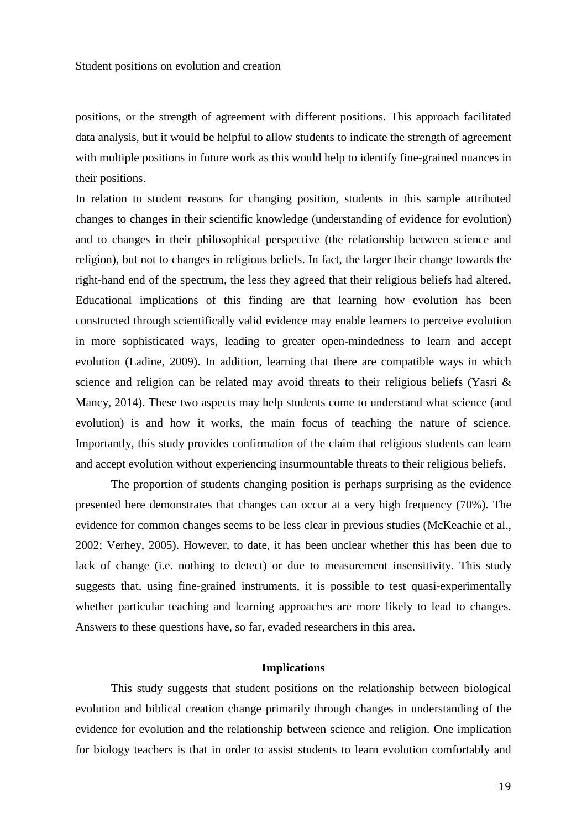positions, or the strength of agreement with different positions. This approach facilitated data analysis, but it would be helpful to allow students to indicate the strength of agreement with multiple positions in future work as this would help to identify fine-grained nuances in their positions.

In relation to student reasons for changing position, students in this sample attributed changes to changes in their scientific knowledge (understanding of evidence for evolution) and to changes in their philosophical perspective (the relationship between science and religion), but not to changes in religious beliefs. In fact, the larger their change towards the right-hand end of the spectrum, the less they agreed that their religious beliefs had altered. Educational implications of this finding are that learning how evolution has been constructed through scientifically valid evidence may enable learners to perceive evolution in more sophisticated ways, leading to greater open-mindedness to learn and accept evolution (Ladine, 2009). In addition, learning that there are compatible ways in which science and religion can be related may avoid threats to their religious beliefs (Yasri & Mancy, 2014). These two aspects may help students come to understand what science (and evolution) is and how it works, the main focus of teaching the nature of science. Importantly, this study provides confirmation of the claim that religious students can learn and accept evolution without experiencing insurmountable threats to their religious beliefs.

The proportion of students changing position is perhaps surprising as the evidence presented here demonstrates that changes can occur at a very high frequency (70%). The evidence for common changes seems to be less clear in previous studies (McKeachie et al., 2002; Verhey, 2005). However, to date, it has been unclear whether this has been due to lack of change (i.e. nothing to detect) or due to measurement insensitivity. This study suggests that, using fine-grained instruments, it is possible to test quasi-experimentally whether particular teaching and learning approaches are more likely to lead to changes. Answers to these questions have, so far, evaded researchers in this area.

#### **Implications**

This study suggests that student positions on the relationship between biological evolution and biblical creation change primarily through changes in understanding of the evidence for evolution and the relationship between science and religion. One implication for biology teachers is that in order to assist students to learn evolution comfortably and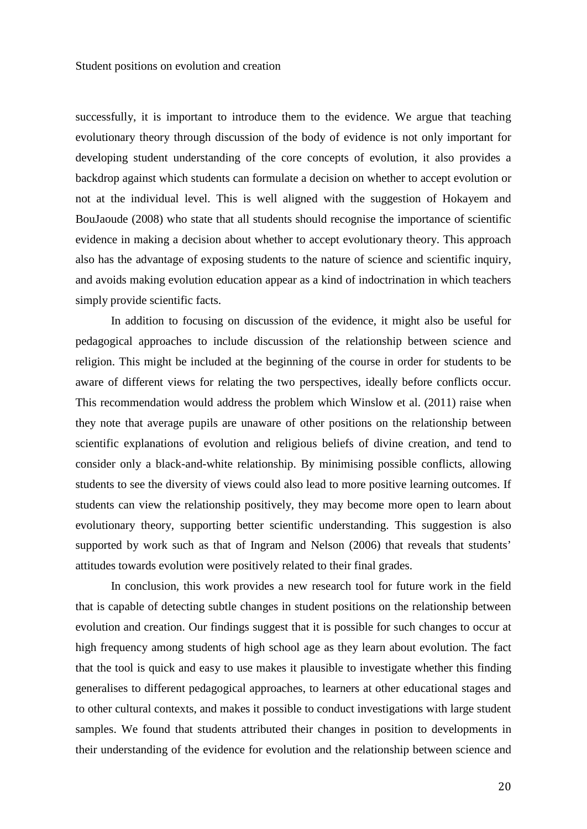successfully, it is important to introduce them to the evidence. We argue that teaching evolutionary theory through discussion of the body of evidence is not only important for developing student understanding of the core concepts of evolution, it also provides a backdrop against which students can formulate a decision on whether to accept evolution or not at the individual level. This is well aligned with the suggestion of Hokayem and BouJaoude (2008) who state that all students should recognise the importance of scientific evidence in making a decision about whether to accept evolutionary theory. This approach also has the advantage of exposing students to the nature of science and scientific inquiry, and avoids making evolution education appear as a kind of indoctrination in which teachers simply provide scientific facts.

In addition to focusing on discussion of the evidence, it might also be useful for pedagogical approaches to include discussion of the relationship between science and religion. This might be included at the beginning of the course in order for students to be aware of different views for relating the two perspectives, ideally before conflicts occur. This recommendation would address the problem which Winslow et al. (2011) raise when they note that average pupils are unaware of other positions on the relationship between scientific explanations of evolution and religious beliefs of divine creation, and tend to consider only a black-and-white relationship. By minimising possible conflicts, allowing students to see the diversity of views could also lead to more positive learning outcomes. If students can view the relationship positively, they may become more open to learn about evolutionary theory, supporting better scientific understanding. This suggestion is also supported by work such as that of Ingram and Nelson (2006) that reveals that students' attitudes towards evolution were positively related to their final grades.

In conclusion, this work provides a new research tool for future work in the field that is capable of detecting subtle changes in student positions on the relationship between evolution and creation. Our findings suggest that it is possible for such changes to occur at high frequency among students of high school age as they learn about evolution. The fact that the tool is quick and easy to use makes it plausible to investigate whether this finding generalises to different pedagogical approaches, to learners at other educational stages and to other cultural contexts, and makes it possible to conduct investigations with large student samples. We found that students attributed their changes in position to developments in their understanding of the evidence for evolution and the relationship between science and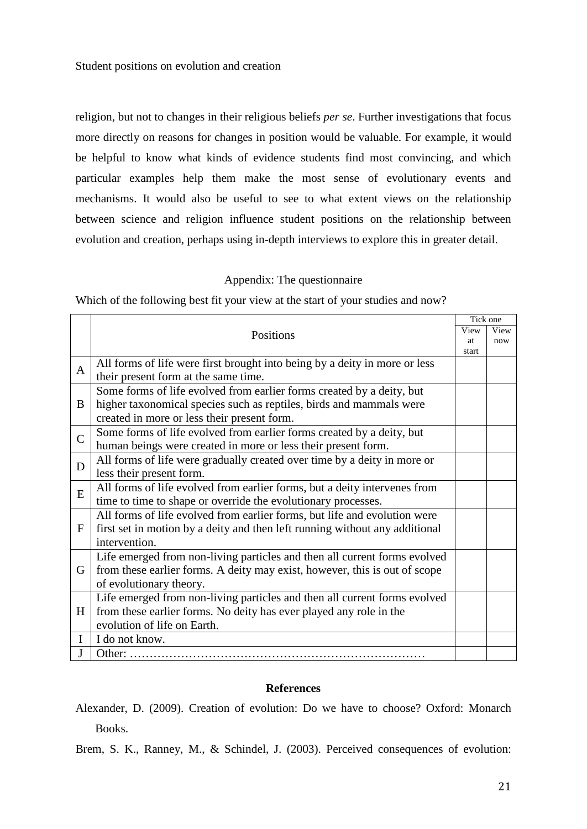religion, but not to changes in their religious beliefs *per se*. Further investigations that focus more directly on reasons for changes in position would be valuable. For example, it would be helpful to know what kinds of evidence students find most convincing, and which particular examples help them make the most sense of evolutionary events and mechanisms. It would also be useful to see to what extent views on the relationship between science and religion influence student positions on the relationship between evolution and creation, perhaps using in-depth interviews to explore this in greater detail.

## Appendix: The questionnaire

Which of the following best fit your view at the start of your studies and now?

|                |                                                                                                      | Tick one<br>View |      |  |  |
|----------------|------------------------------------------------------------------------------------------------------|------------------|------|--|--|
|                | Positions                                                                                            |                  | View |  |  |
|                |                                                                                                      | at<br>start      | now  |  |  |
|                | All forms of life were first brought into being by a deity in more or less                           |                  |      |  |  |
| $\mathbf{A}$   | their present form at the same time.                                                                 |                  |      |  |  |
|                | Some forms of life evolved from earlier forms created by a deity, but                                |                  |      |  |  |
| B              | higher taxonomical species such as reptiles, birds and mammals were                                  |                  |      |  |  |
|                | created in more or less their present form.                                                          |                  |      |  |  |
| $\overline{C}$ | Some forms of life evolved from earlier forms created by a deity, but                                |                  |      |  |  |
|                | human beings were created in more or less their present form.                                        |                  |      |  |  |
| D              | All forms of life were gradually created over time by a deity in more or<br>less their present form. |                  |      |  |  |
|                |                                                                                                      |                  |      |  |  |
| E              | All forms of life evolved from earlier forms, but a deity intervenes from                            |                  |      |  |  |
|                | time to time to shape or override the evolutionary processes.                                        |                  |      |  |  |
|                | All forms of life evolved from earlier forms, but life and evolution were                            |                  |      |  |  |
| $\mathbf{F}$   | first set in motion by a deity and then left running without any additional                          |                  |      |  |  |
|                | intervention.                                                                                        |                  |      |  |  |
|                | Life emerged from non-living particles and then all current forms evolved                            |                  |      |  |  |
| G              | from these earlier forms. A deity may exist, however, this is out of scope                           |                  |      |  |  |
|                | of evolutionary theory.                                                                              |                  |      |  |  |
|                | Life emerged from non-living particles and then all current forms evolved                            |                  |      |  |  |
| H              | from these earlier forms. No deity has ever played any role in the                                   |                  |      |  |  |
|                | evolution of life on Earth.                                                                          |                  |      |  |  |
| $\bf{I}$       | I do not know.                                                                                       |                  |      |  |  |
| J              | Other:                                                                                               |                  |      |  |  |

## **References**

Alexander, D. (2009). Creation of evolution: Do we have to choose? Oxford: Monarch Books.

Brem, S. K., Ranney, M., & Schindel, J. (2003). Perceived consequences of evolution: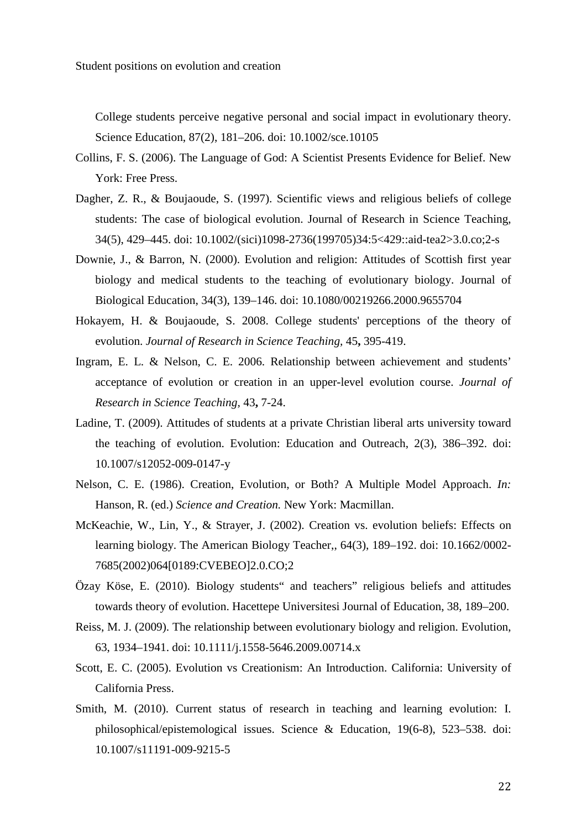College students perceive negative personal and social impact in evolutionary theory. Science Education, 87(2), 181–206. doi: 10.1002/sce.10105

- Collins, F. S. (2006). The Language of God: A Scientist Presents Evidence for Belief. New York: Free Press.
- Dagher, Z. R., & Boujaoude, S. (1997). Scientific views and religious beliefs of college students: The case of biological evolution. Journal of Research in Science Teaching, 34(5), 429–445. doi: 10.1002/(sici)1098-2736(199705)34:5<429::aid-tea2>3.0.co;2-s
- Downie, J., & Barron, N. (2000). Evolution and religion: Attitudes of Scottish first year biology and medical students to the teaching of evolutionary biology. Journal of Biological Education, 34(3), 139–146. doi: 10.1080/00219266.2000.9655704
- Hokayem, H. & Boujaoude, S. 2008. College students' perceptions of the theory of evolution. *Journal of Research in Science Teaching,* 45**,** 395-419.
- Ingram, E. L. & Nelson, C. E. 2006. Relationship between achievement and students' acceptance of evolution or creation in an upper-level evolution course. *Journal of Research in Science Teaching,* 43**,** 7-24.
- Ladine, T. (2009). Attitudes of students at a private Christian liberal arts university toward the teaching of evolution. Evolution: Education and Outreach, 2(3), 386–392. doi: 10.1007/s12052-009-0147-y
- Nelson, C. E. (1986). Creation, Evolution, or Both? A Multiple Model Approach. *In:* Hanson, R. (ed.) *Science and Creation.* New York: Macmillan.
- McKeachie, W., Lin, Y., & Strayer, J. (2002). Creation vs. evolution beliefs: Effects on learning biology. The American Biology Teacher,, 64(3), 189–192. doi: 10.1662/0002- 7685(2002)064[0189:CVEBEO]2.0.CO;2
- Özay Köse, E. (2010). Biology students" and teachers" religious beliefs and attitudes towards theory of evolution. Hacettepe Universitesi Journal of Education, 38, 189–200.
- Reiss, M. J. (2009). The relationship between evolutionary biology and religion. Evolution, 63, 1934–1941. doi: 10.1111/j.1558-5646.2009.00714.x
- Scott, E. C. (2005). Evolution vs Creationism: An Introduction. California: University of California Press.
- Smith, M. (2010). Current status of research in teaching and learning evolution: I. philosophical/epistemological issues. Science & Education, 19(6-8), 523–538. doi: 10.1007/s11191-009-9215-5